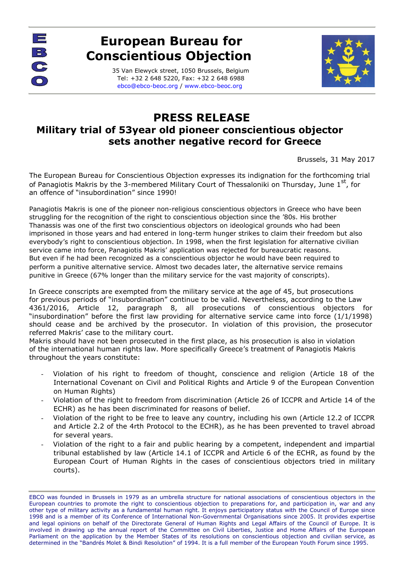

## **European Bureau for Conscientious Objection**

35 Van Elewyck street, 1050 Brussels, Belgium Tel: +32 2 648 5220, Fax: +32 2 648 6988 [ebco@ebco-beoc.org /](mailto:ebco@ebco-beoc.eu) [www.ebco-beoc.org](http://www.ebco-beoc.org/)



## **PRESS RELEASE Military trial of 53year old pioneer conscientious objector sets another negative record for Greece**

Brussels, 31 May 2017

The European Bureau for Conscientious Objection expresses its indignation for the forthcoming trial of Panagiotis Makris by the 3-membered Military Court of Thessaloniki on Thursday, June 1st, for an offence of "insubordination" since 1990!

Panagiotis Makris is one of the pioneer non-religious conscientious objectors in Greece who have been struggling for the recognition of the right to conscientious objection since the '80s. His brother Thanassis was one of the first two conscientious objectors on ideological grounds who had been imprisoned in those years and had entered in long-term hunger strikes to claim their freedom but also everybody's right to conscientious objection. In 1998, when the first legislation for alternative civilian service came into force, Panagiotis Makris' application was rejected for bureaucratic reasons. But even if he had been recognized as a conscientious objector he would have been required to perform a punitive alternative service. Almost two decades later, the alternative service remains punitive in Greece (67% longer than the military service for the vast majority of conscripts).

In Greece conscripts are exempted from the military service at the age of 45, but prosecutions for previous periods of "insubordination" continue to be valid. Nevertheless, according to the Law 4361/2016, Article 12, paragraph 8, all prosecutions of conscientious objectors for "insubordination" before the first law providing for alternative service came into force (1/1/1998) should cease and be archived by the prosecutor. In violation of this provision, the prosecutor referred Makris' case to the military court.

Makris should have not been prosecuted in the first place, as his prosecution is also in violation of the international human rights law. More specifically Greece's treatment of Panagiotis Makris throughout the years constitute:

- Violation of his right to freedom of thought, conscience and religion (Article 18 of the International Covenant on Civil and Political Rights and Article 9 of the European Convention on Human Rights)
- Violation of the right to freedom from discrimination (Article 26 of ICCPR and Article 14 of the ECHR) as he has been discriminated for reasons of belief.
- Violation of the right to be free to leave any country, including his own (Article 12.2 of ICCPR and Article 2.2 of the 4rth Protocol to the ECHR), as he has been prevented to travel abroad for several years.
- Violation of the right to a fair and public hearing by a competent, independent and impartial tribunal established by law (Article 14.1 of ICCPR and Article 6 of the ECHR, as found by the European Court of Human Rights in the cases of conscientious objectors tried in military courts).

EBCO was founded in Brussels in 1979 as an umbrella structure for national associations of conscientious objectors in the European countries to promote the right to conscientious objection to preparations for, and participation in, war and any other type of military activity as a fundamental human right. It enjoys participatory status with the Council of Europe since 1998 and is a member of its Conference of International Non-Governmental Organisations since 2005. It provides expertise and legal opinions on behalf of the Directorate General of Human Rights and Legal Affairs of the Council of Europe. It is involved in drawing up the annual report of the Committee on Civil Liberties, Justice and Home Affairs of the European Parliament on the application by the Member States of its resolutions on conscientious objection and civilian service, as determined in the "Bandrés Molet & Bindi Resolution" of 1994. It is a full member of the European Youth Forum since 1995.